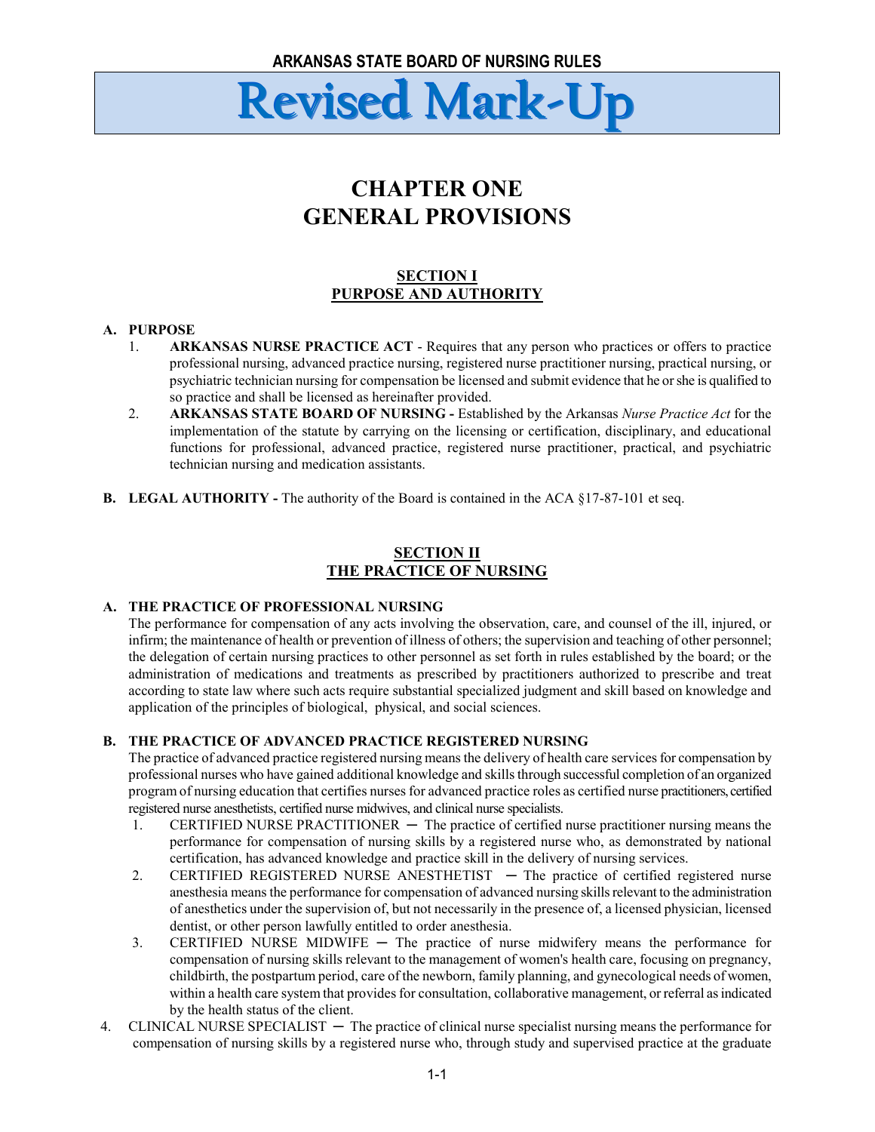### **CHAPTER ONE GENERAL PROVISIONS**

#### **SECTION I PURPOSE AND AUTHORITY**

#### **A. PURPOSE**

- 1. **ARKANSAS NURSE PRACTICE ACT** Requires that any person who practices or offers to practice professional nursing, advanced practice nursing, registered nurse practitioner nursing, practical nursing, or psychiatric technician nursing for compensation be licensed and submit evidence that he or she is qualified to so practice and shall be licensed as hereinafter provided.
- 2. **ARKANSAS STATE BOARD OF NURSING -** Established by the Arkansas *Nurse Practice Act* for the implementation of the statute by carrying on the licensing or certification, disciplinary, and educational functions for professional, advanced practice, registered nurse practitioner, practical, and psychiatric technician nursing and medication assistants.
- **B. LEGAL AUTHORITY -** The authority of the Board is contained in the ACA §17-87-101 et seq.

#### **SECTION II THE PRACTICE OF NURSING**

#### **A. THE PRACTICE OF PROFESSIONAL NURSING**

The performance for compensation of any acts involving the observation, care, and counsel of the ill, injured, or infirm; the maintenance of health or prevention of illness of others; the supervision and teaching of other personnel; the delegation of certain nursing practices to other personnel as set forth in rules established by the board; or the administration of medications and treatments as prescribed by practitioners authorized to prescribe and treat according to state law where such acts require substantial specialized judgment and skill based on knowledge and application of the principles of biological, physical, and social sciences.

#### **B. THE PRACTICE OF ADVANCED PRACTICE REGISTERED NURSING**

The practice of advanced practice registered nursing means the delivery of health care services for compensation by professional nurses who have gained additional knowledge and skills through successful completion of an organized program of nursing education that certifies nurses for advanced practice roles as certified nurse practitioners, certified registered nurse anesthetists, certified nurse midwives, and clinical nurse specialists.

- 1. CERTIFIED NURSE PRACTITIONER The practice of certified nurse practitioner nursing means the performance for compensation of nursing skills by a registered nurse who, as demonstrated by national certification, has advanced knowledge and practice skill in the delivery of nursing services.
- 2. CERTIFIED REGISTERED NURSE ANESTHETIST The practice of certified registered nurse anesthesia means the performance for compensation of advanced nursing skills relevant to the administration of anesthetics under the supervision of, but not necessarily in the presence of, a licensed physician, licensed dentist, or other person lawfully entitled to order anesthesia.
- 3. CERTIFIED NURSE MIDWIFE The practice of nurse midwifery means the performance for compensation of nursing skills relevant to the management of women's health care, focusing on pregnancy, childbirth, the postpartum period, care of the newborn, family planning, and gynecological needs of women, within a health care system that provides for consultation, collaborative management, or referral as indicated by the health status of the client.
- 4. CLINICAL NURSE SPECIALIST The practice of clinical nurse specialist nursing means the performance for compensation of nursing skills by a registered nurse who, through study and supervised practice at the graduate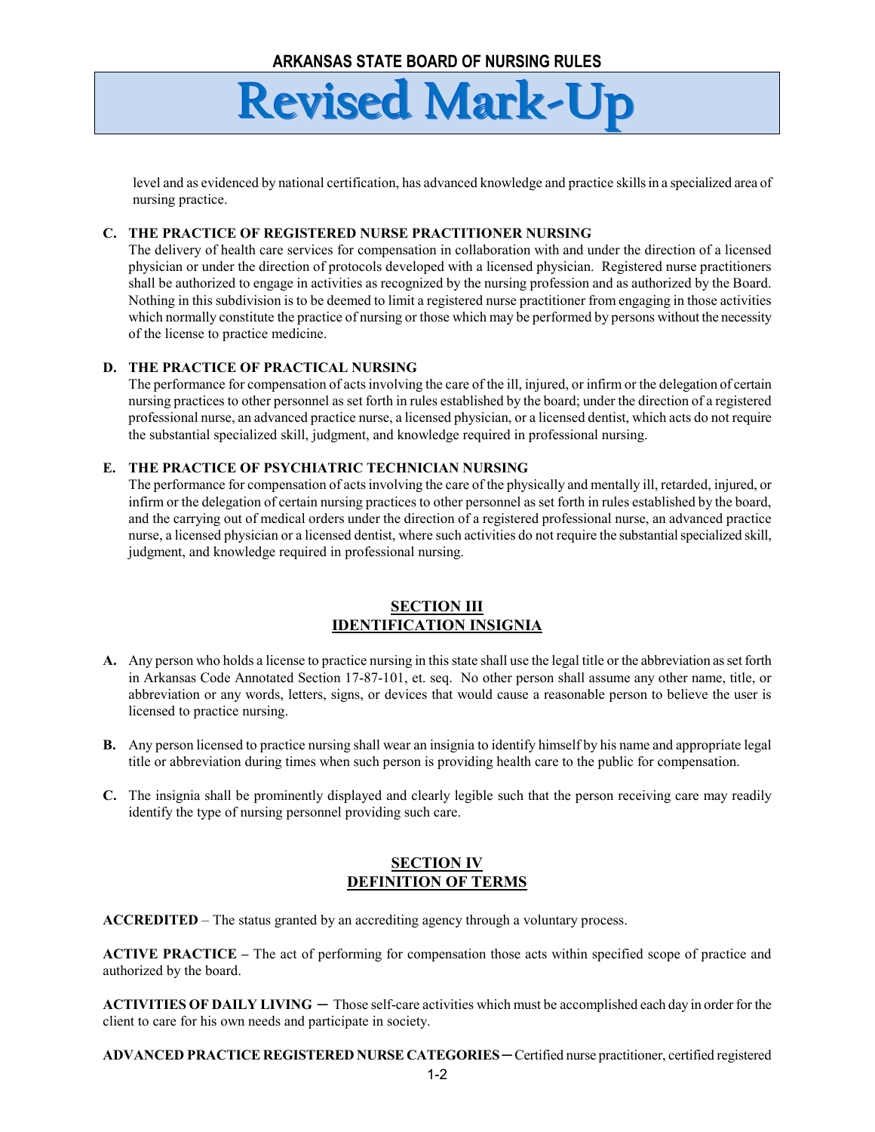level and as evidenced by national certification, has advanced knowledge and practice skills in a specialized area of nursing practice.

#### **C. THE PRACTICE OF REGISTERED NURSE PRACTITIONER NURSING**

The delivery of health care services for compensation in collaboration with and under the direction of a licensed physician or under the direction of protocols developed with a licensed physician. Registered nurse practitioners shall be authorized to engage in activities as recognized by the nursing profession and as authorized by the Board. Nothing in this subdivision is to be deemed to limit a registered nurse practitioner from engaging in those activities which normally constitute the practice of nursing or those which may be performed by persons without the necessity of the license to practice medicine.

#### **D. THE PRACTICE OF PRACTICAL NURSING**

The performance for compensation of acts involving the care of the ill, injured, or infirm or the delegation of certain nursing practices to other personnel as set forth in rules established by the board; under the direction of a registered professional nurse, an advanced practice nurse, a licensed physician, or a licensed dentist, which acts do not require the substantial specialized skill, judgment, and knowledge required in professional nursing.

#### **E. THE PRACTICE OF PSYCHIATRIC TECHNICIAN NURSING**

The performance for compensation of acts involving the care of the physically and mentally ill, retarded, injured, or infirm or the delegation of certain nursing practices to other personnel as set forth in rules established by the board, and the carrying out of medical orders under the direction of a registered professional nurse, an advanced practice nurse, a licensed physician or a licensed dentist, where such activities do not require the substantial specialized skill, judgment, and knowledge required in professional nursing.

#### **SECTION III IDENTIFICATION INSIGNIA**

- **A.** Any person who holds a license to practice nursing in this state shall use the legal title or the abbreviation as set forth in Arkansas Code Annotated Section 17-87-101, et. seq. No other person shall assume any other name, title, or abbreviation or any words, letters, signs, or devices that would cause a reasonable person to believe the user is licensed to practice nursing.
- **B.** Any person licensed to practice nursing shall wear an insignia to identify himself by his name and appropriate legal title or abbreviation during times when such person is providing health care to the public for compensation.
- **C.** The insignia shall be prominently displayed and clearly legible such that the person receiving care may readily identify the type of nursing personnel providing such care.

#### **SECTION IV DEFINITION OF TERMS**

**ACCREDITED** – The status granted by an accrediting agency through a voluntary process.

**ACTIVE PRACTICE –** The act of performing for compensation those acts within specified scope of practice and authorized by the board.

**ACTIVITIES OF DAILY LIVING ─** Those self-care activities which must be accomplished each day in order for the client to care for his own needs and participate in society.

**ADVANCED PRACTICE REGISTERED NURSE CATEGORIES ─** Certified nurse practitioner, certified registered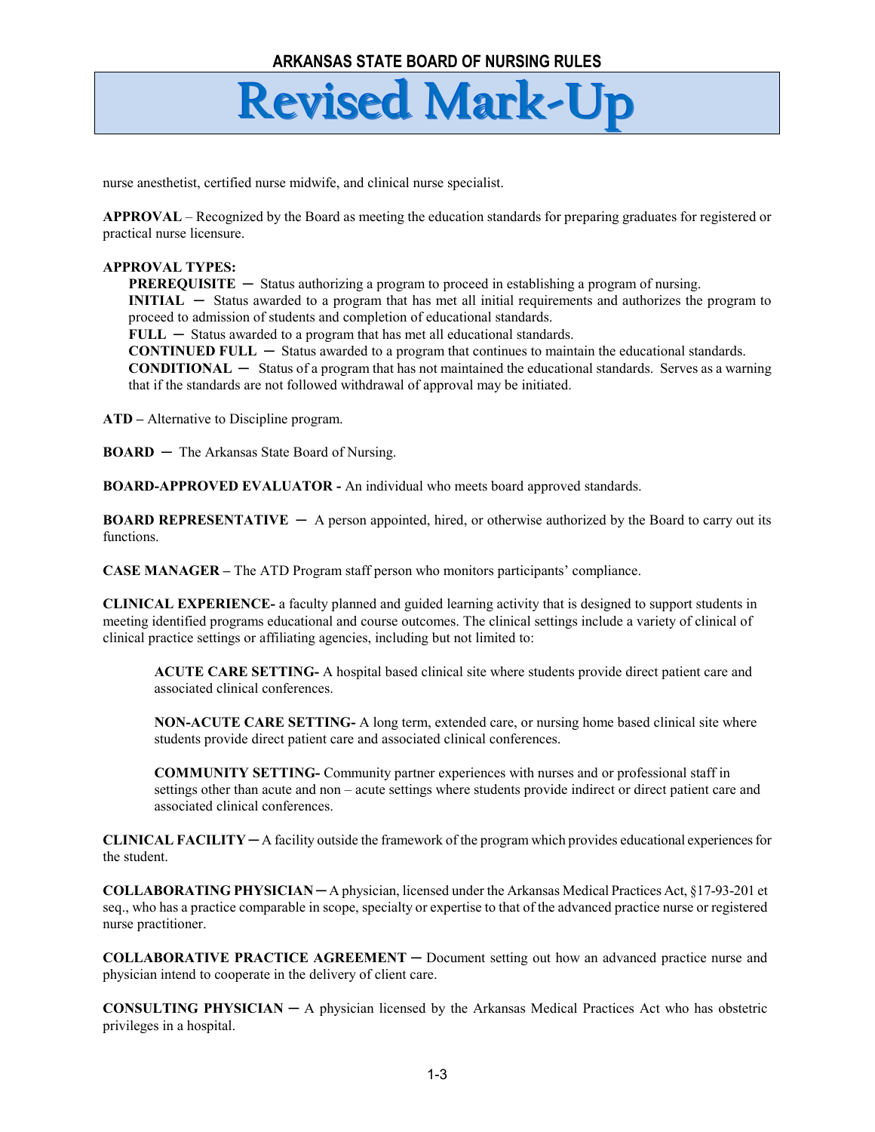nurse anesthetist, certified nurse midwife, and clinical nurse specialist.

**APPROVAL** – Recognized by the Board as meeting the education standards for preparing graduates for registered or practical nurse licensure.

#### **APPROVAL TYPES:**

**PREREQUISITE** — Status authorizing a program to proceed in establishing a program of nursing. **INITIAL ─** Status awarded to a program that has met all initial requirements and authorizes the program to proceed to admission of students and completion of educational standards.

**FULL ─** Status awarded to a program that has met all educational standards.

**CONTINUED FULL ─** Status awarded to a program that continues to maintain the educational standards. **CONDITIONAL ─** Status of a program that has not maintained the educational standards. Serves as a warning that if the standards are not followed withdrawal of approval may be initiated.

**ATD –** Alternative to Discipline program.

**BOARD ─** The Arkansas State Board of Nursing.

**BOARD-APPROVED EVALUATOR -** An individual who meets board approved standards.

**BOARD REPRESENTATIVE ─** A person appointed, hired, or otherwise authorized by the Board to carry out its functions.

**CASE MANAGER –** The ATD Program staff person who monitors participants' compliance.

**CLINICAL EXPERIENCE-** a faculty planned and guided learning activity that is designed to support students in meeting identified programs educational and course outcomes. The clinical settings include a variety of clinical of clinical practice settings or affiliating agencies, including but not limited to:

**ACUTE CARE SETTING-** A hospital based clinical site where students provide direct patient care and associated clinical conferences.

**NON-ACUTE CARE SETTING-** A long term, extended care, or nursing home based clinical site where students provide direct patient care and associated clinical conferences.

**COMMUNITY SETTING-** Community partner experiences with nurses and or professional staff in settings other than acute and non – acute settings where students provide indirect or direct patient care and associated clinical conferences.

**CLINICAL FACILITY ─** A facility outside the framework of the program which provides educational experiences for the student.

**COLLABORATING PHYSICIAN ─** A physician, licensed under the Arkansas Medical Practices Act, §17-93-201 et seq., who has a practice comparable in scope, specialty or expertise to that of the advanced practice nurse or registered nurse practitioner.

**COLLABORATIVE PRACTICE AGREEMENT ─** Document setting out how an advanced practice nurse and physician intend to cooperate in the delivery of client care.

**CONSULTING PHYSICIAN ─** A physician licensed by the Arkansas Medical Practices Act who has obstetric privileges in a hospital.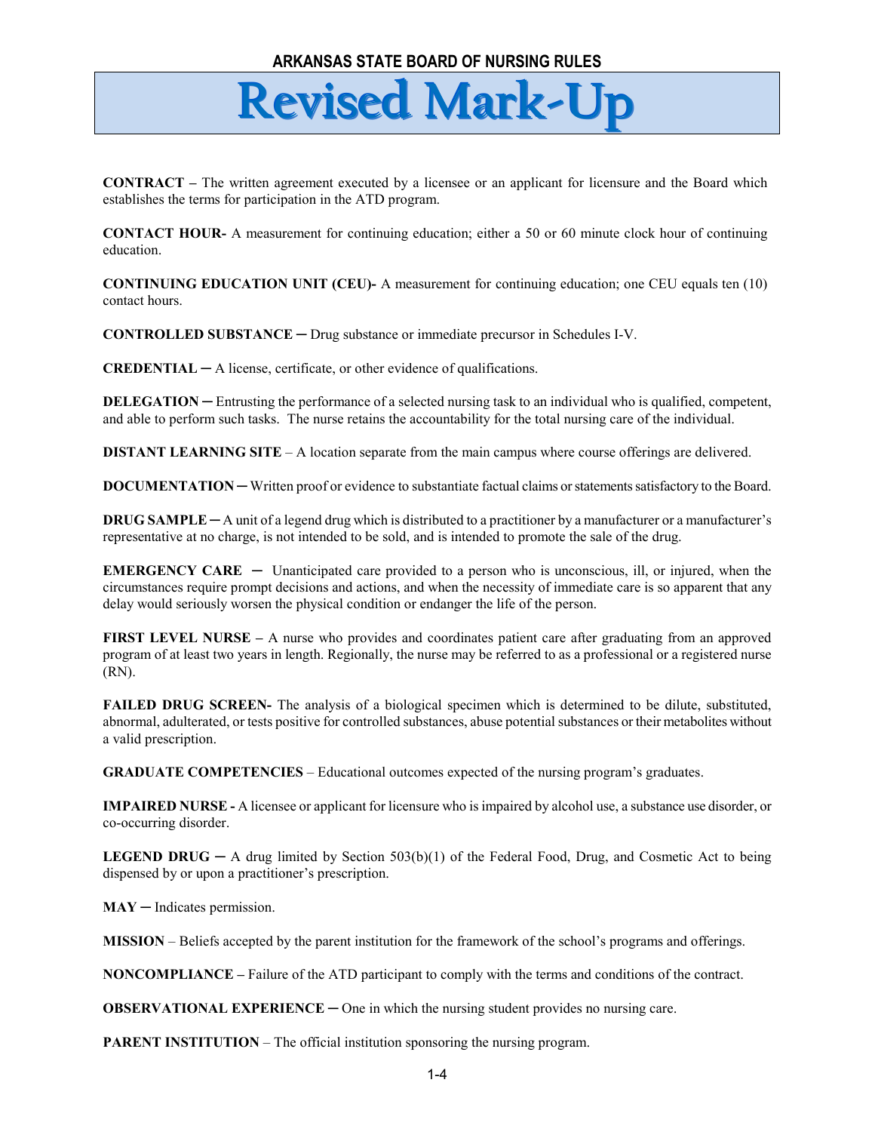#### **ARKANSAS STATE BOARD OF NURSING RULES**

### **Revised Mark-Up**

**CONTRACT –** The written agreement executed by a licensee or an applicant for licensure and the Board which establishes the terms for participation in the ATD program.

**CONTACT HOUR-** A measurement for continuing education; either a 50 or 60 minute clock hour of continuing education.

**CONTINUING EDUCATION UNIT (CEU)-** A measurement for continuing education; one CEU equals ten (10) contact hours.

**CONTROLLED SUBSTANCE ─** Drug substance or immediate precursor in Schedules I-V.

**CREDENTIAL ─** A license, certificate, or other evidence of qualifications.

**DELEGATION** — Entrusting the performance of a selected nursing task to an individual who is qualified, competent, and able to perform such tasks. The nurse retains the accountability for the total nursing care of the individual.

**DISTANT LEARNING SITE** – A location separate from the main campus where course offerings are delivered.

**DOCUMENTATION** — Written proof or evidence to substantiate factual claims or statements satisfactory to the Board.

**DRUG SAMPLE — A unit of a legend drug which is distributed to a practitioner by a manufacturer or a manufacturer's** representative at no charge, is not intended to be sold, and is intended to promote the sale of the drug.

**EMERGENCY CARE** – Unanticipated care provided to a person who is unconscious, ill, or injured, when the circumstances require prompt decisions and actions, and when the necessity of immediate care is so apparent that any delay would seriously worsen the physical condition or endanger the life of the person.

**FIRST LEVEL NURSE –** A nurse who provides and coordinates patient care after graduating from an approved program of at least two years in length. Regionally, the nurse may be referred to as a professional or a registered nurse (RN).

**FAILED DRUG SCREEN-** The analysis of a biological specimen which is determined to be dilute, substituted, abnormal, adulterated, or tests positive for controlled substances, abuse potential substances or their metabolites without a valid prescription.

**GRADUATE COMPETENCIES** – Educational outcomes expected of the nursing program's graduates.

**IMPAIRED NURSE -** A licensee or applicant for licensure who is impaired by alcohol use, a substance use disorder, or co-occurring disorder.

**LEGEND DRUG ─** A drug limited by Section 503(b)(1) of the Federal Food, Drug, and Cosmetic Act to being dispensed by or upon a practitioner's prescription.

**MAY ─** Indicates permission.

**MISSION** – Beliefs accepted by the parent institution for the framework of the school's programs and offerings.

**NONCOMPLIANCE –** Failure of the ATD participant to comply with the terms and conditions of the contract.

**OBSERVATIONAL EXPERIENCE** — One in which the nursing student provides no nursing care.

**PARENT INSTITUTION** – The official institution sponsoring the nursing program.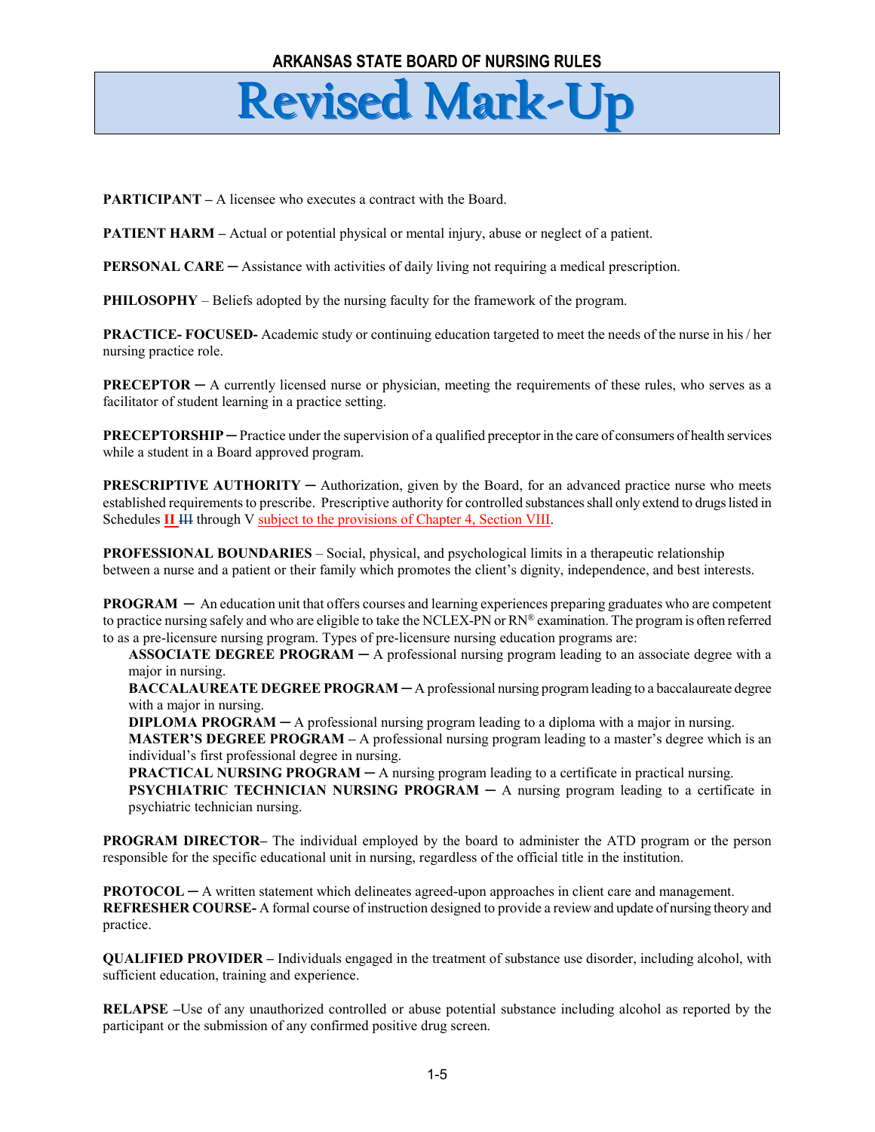**PARTICIPANT** – A licensee who executes a contract with the Board.

**PATIENT HARM** – Actual or potential physical or mental injury, abuse or neglect of a patient.

**PERSONAL CARE** — Assistance with activities of daily living not requiring a medical prescription.

**PHILOSOPHY** – Beliefs adopted by the nursing faculty for the framework of the program.

**PRACTICE- FOCUSED-** Academic study or continuing education targeted to meet the needs of the nurse in his / her nursing practice role.

**PRECEPTOR** — A currently licensed nurse or physician, meeting the requirements of these rules, who serves as a facilitator of student learning in a practice setting.

**PRECEPTORSHIP ─** Practice under the supervision of a qualified preceptor in the care of consumers of health services while a student in a Board approved program.

**PRESCRIPTIVE AUTHORITY** — Authorization, given by the Board, for an advanced practice nurse who meets established requirements to prescribe. Prescriptive authority for controlled substances shall only extend to drugs listed in Schedules **II** III through V subject to the provisions of Chapter 4, Section VIII.

**PROFESSIONAL BOUNDARIES** – Social, physical, and psychological limits in a therapeutic relationship between a nurse and a patient or their family which promotes the client's dignity, independence, and best interests.

**PROGRAM** — An education unit that offers courses and learning experiences preparing graduates who are competent to practice nursing safely and who are eligible to take the NCLEX-PN or RN® examination. The program is often referred to as a pre-licensure nursing program. Types of pre-licensure nursing education programs are:

**ASSOCIATE DEGREE PROGRAM ─** A professional nursing program leading to an associate degree with a major in nursing.

**BACCALAUREATE DEGREE PROGRAM ─** A professional nursing program leading to a baccalaureate degree with a major in nursing.

**DIPLOMA PROGRAM** — A professional nursing program leading to a diploma with a major in nursing.

**MASTER'S DEGREE PROGRAM** – A professional nursing program leading to a master's degree which is an individual's first professional degree in nursing.

**PRACTICAL NURSING PROGRAM ─** A nursing program leading to a certificate in practical nursing.

**PSYCHIATRIC TECHNICIAN NURSING PROGRAM ─** A nursing program leading to a certificate in psychiatric technician nursing.

**PROGRAM DIRECTOR–** The individual employed by the board to administer the ATD program or the person responsible for the specific educational unit in nursing, regardless of the official title in the institution.

**PROTOCOL ─** A written statement which delineates agreed-upon approaches in client care and management. **REFRESHER COURSE-** A formal course of instruction designed to provide a review and update of nursing theory and practice.

**QUALIFIED PROVIDER –** Individuals engaged in the treatment of substance use disorder, including alcohol, with sufficient education, training and experience.

**RELAPSE –**Use of any unauthorized controlled or abuse potential substance including alcohol as reported by the participant or the submission of any confirmed positive drug screen.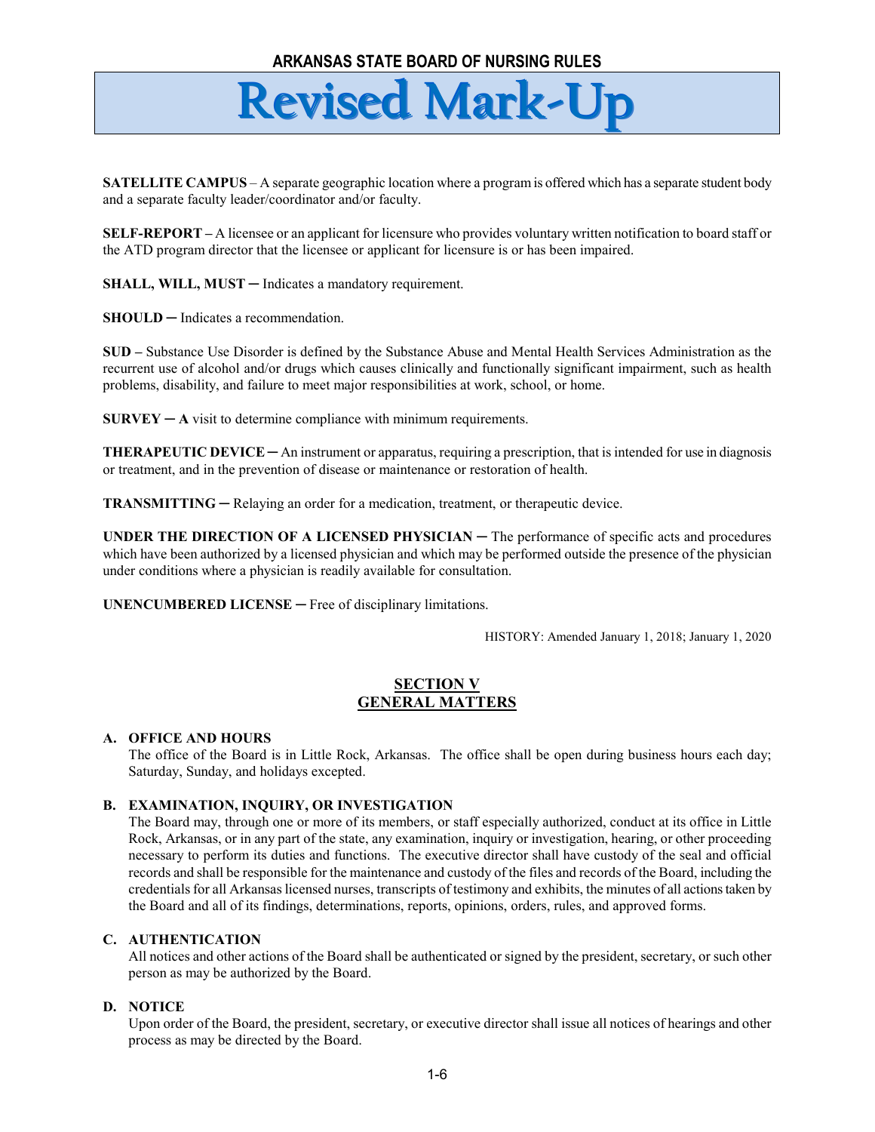**SATELLITE CAMPUS** – A separate geographic location where a program is offered which has a separate student body and a separate faculty leader/coordinator and/or faculty.

**SELF-REPORT –** A licensee or an applicant for licensure who provides voluntary written notification to board staff or the ATD program director that the licensee or applicant for licensure is or has been impaired.

**SHALL, WILL, MUST — Indicates a mandatory requirement.** 

**SHOULD ─** Indicates a recommendation.

**SUD –** Substance Use Disorder is defined by the Substance Abuse and Mental Health Services Administration as the recurrent use of alcohol and/or drugs which causes clinically and functionally significant impairment, such as health problems, disability, and failure to meet major responsibilities at work, school, or home.

 $SURVEY - A$  visit to determine compliance with minimum requirements.

**THERAPEUTIC DEVICE ─** An instrument or apparatus, requiring a prescription, that is intended for use in diagnosis or treatment, and in the prevention of disease or maintenance or restoration of health.

**TRANSMITTING ─** Relaying an order for a medication, treatment, or therapeutic device.

**UNDER THE DIRECTION OF A LICENSED PHYSICIAN ─** The performance of specific acts and procedures which have been authorized by a licensed physician and which may be performed outside the presence of the physician under conditions where a physician is readily available for consultation.

**UNENCUMBERED LICENSE ─** Free of disciplinary limitations.

HISTORY: Amended January 1, 2018; January 1, 2020

#### **SECTION V GENERAL MATTERS**

#### **A. OFFICE AND HOURS**

The office of the Board is in Little Rock, Arkansas. The office shall be open during business hours each day; Saturday, Sunday, and holidays excepted.

#### **B. EXAMINATION, INQUIRY, OR INVESTIGATION**

The Board may, through one or more of its members, or staff especially authorized, conduct at its office in Little Rock, Arkansas, or in any part of the state, any examination, inquiry or investigation, hearing, or other proceeding necessary to perform its duties and functions. The executive director shall have custody of the seal and official records and shall be responsible for the maintenance and custody of the files and records of the Board, including the credentials for all Arkansas licensed nurses, transcripts of testimony and exhibits, the minutes of all actions taken by the Board and all of its findings, determinations, reports, opinions, orders, rules, and approved forms.

#### **C. AUTHENTICATION**

All notices and other actions of the Board shall be authenticated or signed by the president, secretary, or such other person as may be authorized by the Board.

#### **D. NOTICE**

Upon order of the Board, the president, secretary, or executive director shall issue all notices of hearings and other process as may be directed by the Board.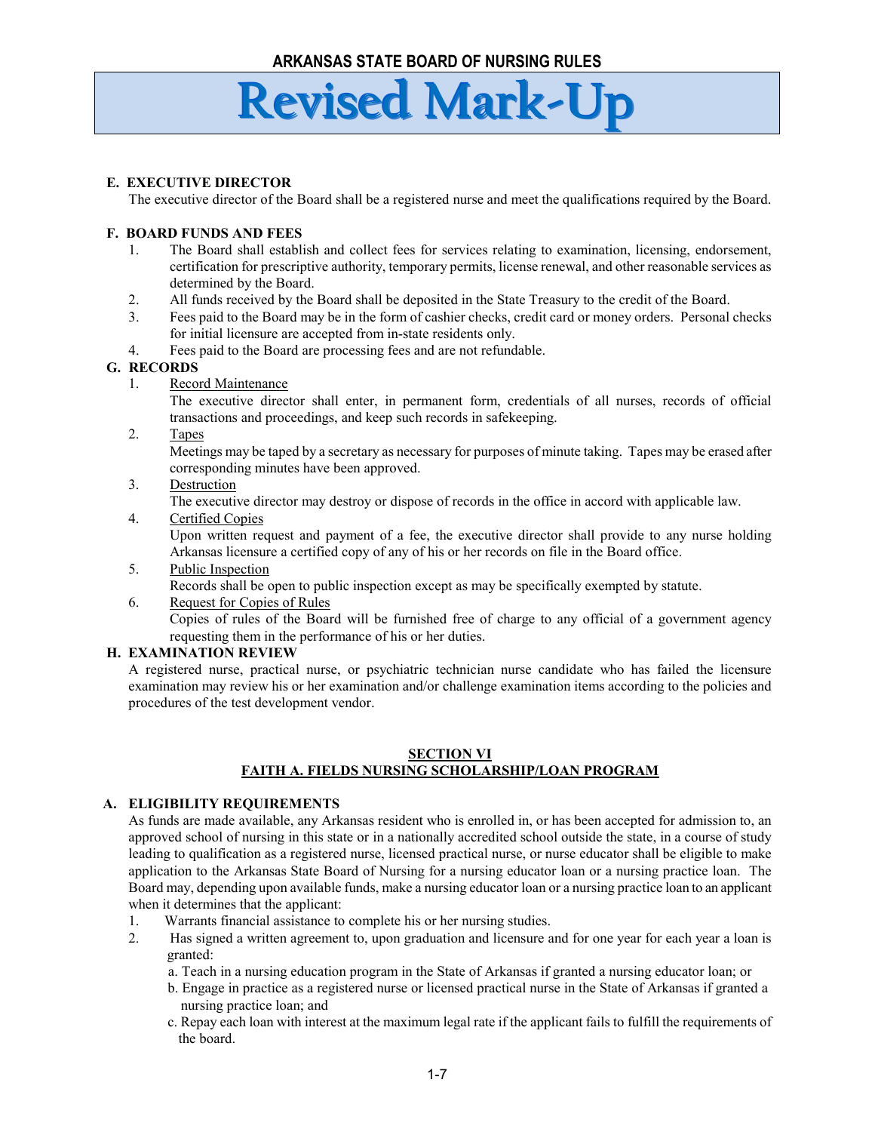#### **E. EXECUTIVE DIRECTOR**

The executive director of the Board shall be a registered nurse and meet the qualifications required by the Board.

#### **F. BOARD FUNDS AND FEES**

- 1. The Board shall establish and collect fees for services relating to examination, licensing, endorsement, certification for prescriptive authority, temporary permits, license renewal, and other reasonable services as determined by the Board.
- 2. All funds received by the Board shall be deposited in the State Treasury to the credit of the Board.
- 3. Fees paid to the Board may be in the form of cashier checks, credit card or money orders. Personal checks for initial licensure are accepted from in-state residents only.
- 4. Fees paid to the Board are processing fees and are not refundable.

#### **G. RECORDS**

1. Record Maintenance

The executive director shall enter, in permanent form, credentials of all nurses, records of official transactions and proceedings, and keep such records in safekeeping.

2. Tapes

Meetings may be taped by a secretary as necessary for purposes of minute taking. Tapes may be erased after corresponding minutes have been approved.

3. Destruction

The executive director may destroy or dispose of records in the office in accord with applicable law.

4. Certified Copies

Upon written request and payment of a fee, the executive director shall provide to any nurse holding Arkansas licensure a certified copy of any of his or her records on file in the Board office.

- 5. Public Inspection
- Records shall be open to public inspection except as may be specifically exempted by statute.
- 6. Request for Copies of Rules

Copies of rules of the Board will be furnished free of charge to any official of a government agency requesting them in the performance of his or her duties.

#### **H. EXAMINATION REVIEW**

A registered nurse, practical nurse, or psychiatric technician nurse candidate who has failed the licensure examination may review his or her examination and/or challenge examination items according to the policies and procedures of the test development vendor.

#### **SECTION VI FAITH A. FIELDS NURSING SCHOLARSHIP/LOAN PROGRAM**

#### **A. ELIGIBILITY REQUIREMENTS**

As funds are made available, any Arkansas resident who is enrolled in, or has been accepted for admission to, an approved school of nursing in this state or in a nationally accredited school outside the state, in a course of study leading to qualification as a registered nurse, licensed practical nurse, or nurse educator shall be eligible to make application to the Arkansas State Board of Nursing for a nursing educator loan or a nursing practice loan. The Board may, depending upon available funds, make a nursing educator loan or a nursing practice loan to an applicant when it determines that the applicant:

- 1. Warrants financial assistance to complete his or her nursing studies.
- 2. Has signed a written agreement to, upon graduation and licensure and for one year for each year a loan is granted:
	- a. Teach in a nursing education program in the State of Arkansas if granted a nursing educator loan; or
	- b. Engage in practice as a registered nurse or licensed practical nurse in the State of Arkansas if granted a nursing practice loan; and
	- c. Repay each loan with interest at the maximum legal rate if the applicant fails to fulfill the requirements of the board.